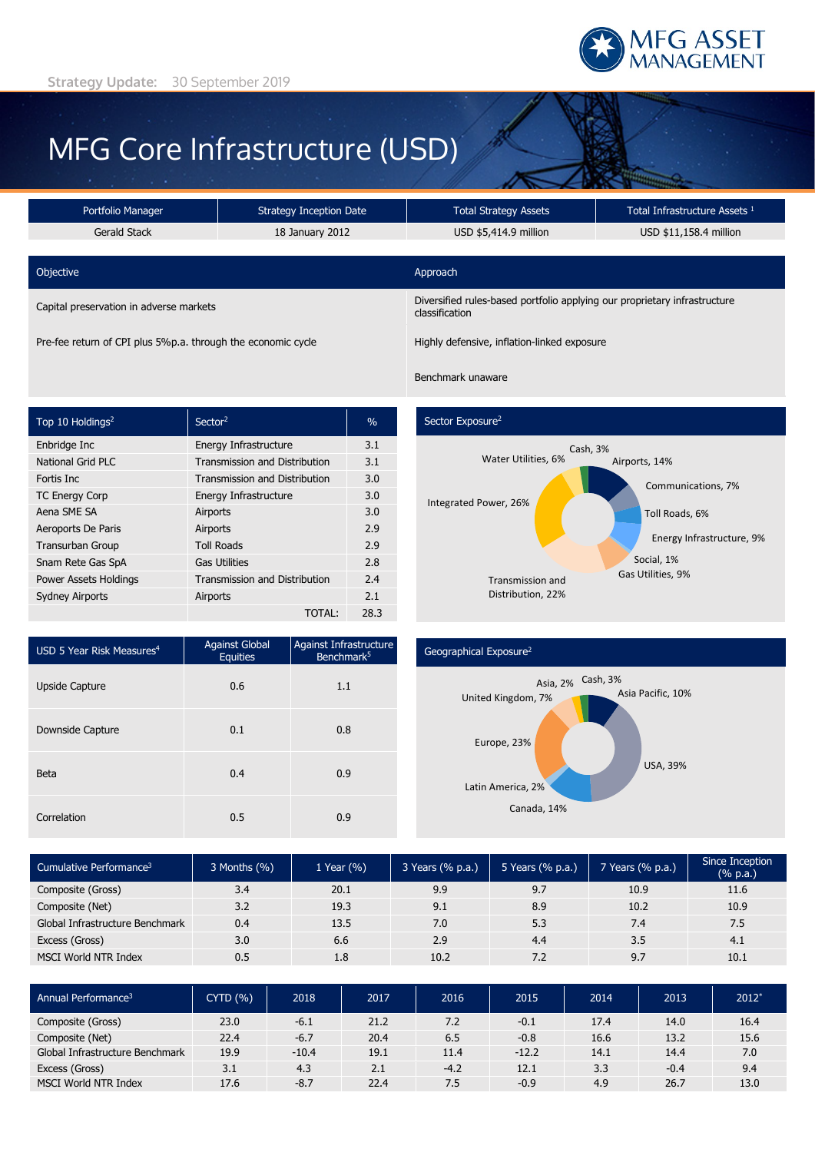

# MFG Core Infrastructure (USD)

| Portfolio Manager                                            | <b>Strategy Inception Date</b> | <b>Total Strategy Assets</b>                                                                | Total Infrastructure Assets <sup>1</sup> |  |  |
|--------------------------------------------------------------|--------------------------------|---------------------------------------------------------------------------------------------|------------------------------------------|--|--|
| Gerald Stack                                                 | 18 January 2012                | USD \$5,414.9 million                                                                       | USD \$11,158.4 million                   |  |  |
|                                                              |                                |                                                                                             |                                          |  |  |
| Objective                                                    |                                | Approach                                                                                    |                                          |  |  |
| Capital preservation in adverse markets                      |                                | Diversified rules-based portfolio applying our proprietary infrastructure<br>classification |                                          |  |  |
| Pre-fee return of CPI plus 5%p.a. through the economic cycle |                                | Highly defensive, inflation-linked exposure                                                 |                                          |  |  |

| Top 10 Holdings <sup>2</sup> | Sector <sup>2</sup>                  | $\%$ |
|------------------------------|--------------------------------------|------|
| Enbridge Inc                 | Energy Infrastructure                | 3.1  |
| <b>National Grid PLC</b>     | <b>Transmission and Distribution</b> | 3.1  |
| Fortis Inc.                  | <b>Transmission and Distribution</b> | 3.0  |
| <b>TC Energy Corp</b>        | Energy Infrastructure                | 3.0  |
| Aena SME SA                  | Airports                             | 3.0  |
| Aeroports De Paris           | Airports                             | 2.9  |
| <b>Transurban Group</b>      | <b>Toll Roads</b>                    | 2.9  |
| Snam Rete Gas SpA            | <b>Gas Utilities</b>                 | 2.8  |
| Power Assets Holdings        | <b>Transmission and Distribution</b> | 2.4  |
| <b>Sydney Airports</b>       | Airports                             | 2.1  |
|                              | TOTAL:                               | 28.3 |

# Sector Exposure<sup>2</sup>

Benchmark unaware



| USD 5 Year Risk Measures <sup>4</sup> | Against Global<br><b>Equities</b> | Against Infrastructure<br>Benchmark <sup>5</sup> |
|---------------------------------------|-----------------------------------|--------------------------------------------------|
| <b>Upside Capture</b>                 | 0.6                               | 1.1                                              |
| Downside Capture                      | 0.1                               | 0.8                                              |
| <b>Beta</b>                           | 0.4                               | 0.9                                              |
| Correlation                           | 0.5                               | 0.9                                              |

### Geographical Exposure2



| Cumulative Performance <sup>3</sup> | $3$ Months $(% )$ | 1 Year (%) | 3 Years (% p.a.) | 5 Years (% p.a.) | 7 Years (% p.a.) | Since Inception<br>(% p.a.) |
|-------------------------------------|-------------------|------------|------------------|------------------|------------------|-----------------------------|
| Composite (Gross)                   | 3.4               | 20.1       | 9.9              | 9.7              | 10.9             | 11.6                        |
| Composite (Net)                     | 3.2               | 19.3       | 9.1              | 8.9              | 10.2             | 10.9                        |
| Global Infrastructure Benchmark     | 0.4               | 13.5       | 7.0              | 5.3              | 7.4              | 7.5                         |
| Excess (Gross)                      | 3.0               | 6.6        | 2.9              | 4.4              | 3.5              | 4.1                         |
| MSCI World NTR Index                | 0.5               | 1.8        | 10.2             | 7.2              | 9.7              | 10.1                        |

| Annual Performance <sup>3</sup> | CYTD(% ) | 2018    | 2017 | 2016   | 2015    | 2014 | 2013   | $2012*$ |
|---------------------------------|----------|---------|------|--------|---------|------|--------|---------|
| Composite (Gross)               | 23.0     | $-6.1$  | 21.2 | 7.2    | $-0.1$  | 17.4 | 14.0   | 16.4    |
| Composite (Net)                 | 22.4     | $-6.7$  | 20.4 | 6.5    | $-0.8$  | 16.6 | 13.2   | 15.6    |
| Global Infrastructure Benchmark | 19.9     | $-10.4$ | 19.1 | 11.4   | $-12.2$ | 14.1 | 14.4   | 7.0     |
| Excess (Gross)                  | 3.1      | 4.3     | 2.1  | $-4.2$ | 12.1    | 3.3  | $-0.4$ | 9.4     |
| <b>MSCI World NTR Index</b>     | 17.6     | $-8.7$  | 22.4 | 7.5    | $-0.9$  | 4.9  | 26.7   | 13.0    |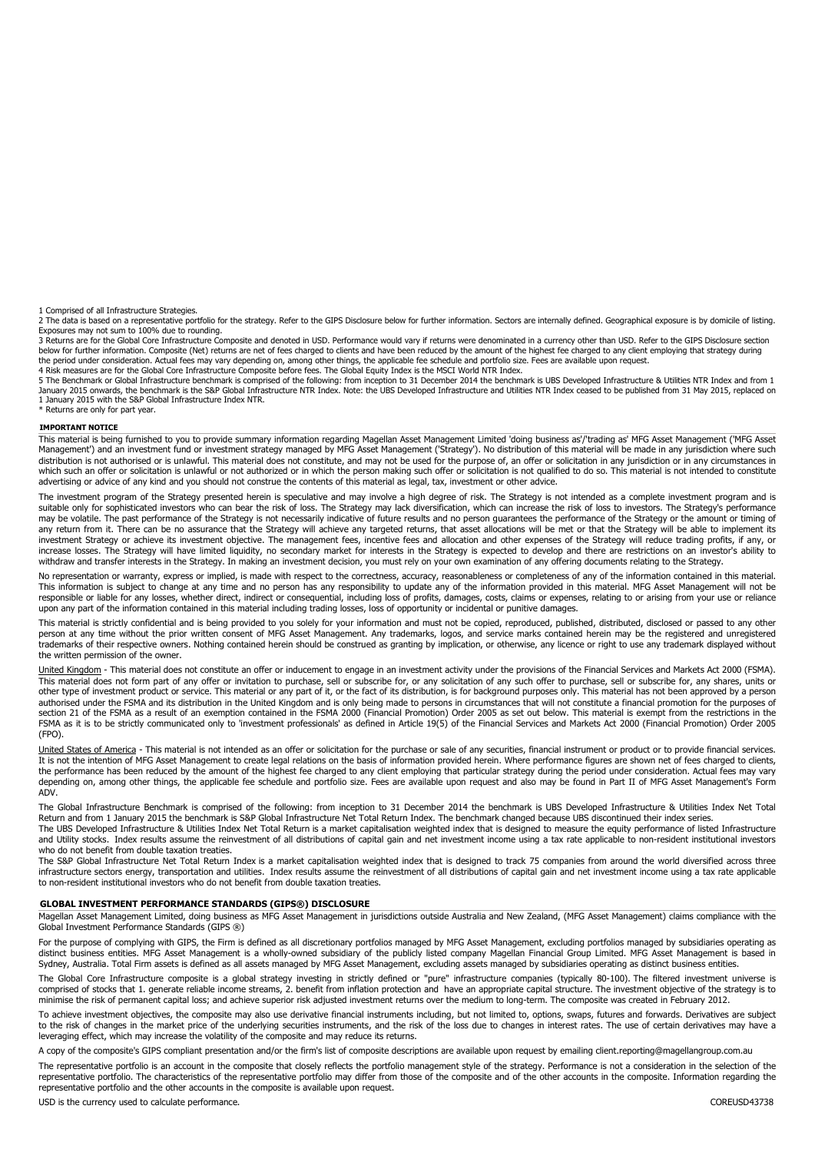1 Comprised of all Infrastructure Strategies.

2 The data is based on a representative portfolio for the strategy. Refer to the GIPS Disclosure below for further information. Sectors are internally defined. Geographical exposure is by domicile of listing.<br>Exposures may

3 Returns are for the Global Core Infrastructure Composite and denoted in USD. Performance would vary if returns were denominated in a currency other than USD. Refer to the GIPS Disclosure section below for further information. Composite (Net) returns are net of fees charged to clients and have been reduced by the amount of the highest fee charged to any client employing that strategy during the period under consideration. Actual fees may vary depending on, among other things, the applicable fee schedule and portfolio size. Fees are available upon request.<br>4 Risk measures are for the Global Core Infrastructure

5 The Benchmark or Global Infrastructure benchmark is comprised of the following: from inception to 31 December 2014 the benchmark is UBS Developed Infrastructure & Utilities NTR Index and from 1 January 2015 onwards, the benchmark is the S&P Global Infrastructure NTR Index. Note: the UBS Developed Infrastructure and Utilities NTR Index ceased to be published from 31 May 2015, replaced on 1 January 2015 with the S&P Global Infrastructure Index NTR. \* Returns are only for part year.

#### **IMPORTANT NOTICE**

This material is being furnished to you to provide summary information regarding Magellan Asset Management Limited 'doing business as'/'trading as' MFG Asset Management ('MFG Asset Management') and an investment fund or investment strategy managed by MFG Asset Management ('Strategy'). No distribution of this material will be made in any jurisdiction where such distribution is not authorised or is unlawful. This material does not constitute, and may not be used for the purpose of, an offer or solicitation in any jurisdiction or in any circumstances in which such an offer or solicitation is unlawful or not authorized or in which the person making such offer or solicitation is not qualified to do so. This material is not intended to constitute advertising or advice of any kind and you should not construe the contents of this material as legal, tax, investment or other advice.

The investment program of the Strategy presented herein is speculative and may involve a high degree of risk. The Strategy is not intended as a complete investment program and is<br>suitable only for sophisticated investors w may be volatile. The past performance of the Strategy is not necessarily indicative of future results and no person guarantees the performance of the Strategy or the amount or timing of any return from it. There can be no assurance that the Strategy will achieve any targeted returns, that asset allocations will be met or that the Strategy will be able to implement its investment Strategy or achieve its investment objective. The management fees, incentive fees and allocation and other expenses of the Strategy will reduce trading profits, if any, or increase losses. The Strategy will have limited liquidity, no secondary market for interests in the Strategy is expected to develop and there are restrictions on an investor's ability to withdraw and transfer interests in the Strategy. In making an investment decision, you must rely on your own examination of any offering documents relating to the Strategy.

No representation or warranty, express or implied, is made with respect to the correctness, accuracy, reasonableness or completeness of any of the information contained in this material. This information is subject to change at any time and no person has any responsibility to update any of the information provided in this material. MFG Asset Management will not be responsible or liable for any losses, whether direct, indirect or consequential, including loss of profits, damages, costs, claims or expenses, relating to or arising from your use or reliance upon any part of the information contained in this material including trading losses, loss of opportunity or incidental or punitive damages.

This material is strictly confidential and is being provided to you solely for your information and must not be copied, reproduced, published, distributed, disclosed or passed to any other<br>person at any time without the pr trademarks of their respective owners. Nothing contained herein should be construed as granting by implication, or otherwise, any licence or right to use any trademark displayed without the written permission of the owner.

United Kingdom - This material does not constitute an offer or inducement to engage in an investment activity under the provisions of the Financial Services and Markets Act 2000 (FSMA). This material does not form part of any offer or invitation to purchase, sell or subscribe for, or any solicitation of any such offer to purchase, sell or subscribe for, any shares, units or other type of investment product or service. This material or any part of it, or the fact of its distribution, is for background purposes only. This material has not been approved by a person authorised under the FSMA and its distribution in the United Kingdom and is only being made to persons in circumstances that will not constitute a financial promotion for the purposes of section 21 of the FSMA as a result of an exemption contained in the FSMA 2000 (Financial Promotion) Order 2005 as set out below. This material is exempt from the restrictions in the FSMA as it is to be strictly communicated only to 'investment professionals' as defined in Article 19(5) of the Financial Services and Markets Act 2000 (Financial Promotion) Order 2005 (FPO).

United States of America - This material is not intended as an offer or solicitation for the purchase or sale of any securities, financial instrument or product or to provide financial services. It is not the intention of MFG Asset Management to create legal relations on the basis of information provided herein. Where performance figures are shown net of fees charged to clients, the performance has been reduced by the amount of the highest fee charged to any client employing that particular strategy during the period under consideration. Actual fees may vary depending on, among other things, the applicable fee schedule and portfolio size. Fees are available upon request and also may be found in Part II of MFG Asset Management's Form ADV.

The Global Infrastructure Benchmark is comprised of the following: from inception to 31 December 2014 the benchmark is UBS Developed Infrastructure & Utilities Index Net Total Return and from 1 January 2015 the benchmark is S&P Global Infrastructure Net Total Return Index. The benchmark changed because UBS discontinued their index series. The UBS Developed Infrastructure & Utilities Index Net Total Return is a market capitalisation weighted index that is designed to measure the equity performance of listed Infrastructure

and Utility stocks. Index results assume the reinvestment of all distributions of capital gain and net investment income using a tax rate applicable to non-resident institutional investors who do not benefit from double taxation treaties.

The S&P Global Infrastructure Net Total Return Index is a market capitalisation weighted index that is designed to track 75 companies from around the world diversified across three infrastructure sectors energy, transportation and utilities. Index results assume the reinvestment of all distributions of capital gain and net investment income using a tax rate applicable to non-resident institutional investors who do not benefit from double taxation treaties.

#### **GLOBAL INVESTMENT PERFORMANCE STANDARDS (GIPS®) DISCLOSURE**

Magellan Asset Management Limited, doing business as MFG Asset Management in jurisdictions outside Australia and New Zealand, (MFG Asset Management) claims compliance with the Global Investment Performance Standards (GIPS ®)

For the purpose of complying with GIPS, the Firm is defined as all discretionary portfolios managed by MFG Asset Management, excluding portfolios managed by subsidiaries operating as<br>distinct business entities. MFG Asset M Sydney, Australia. Total Firm assets is defined as all assets managed by MFG Asset Management, excluding assets managed by subsidiaries operating as distinct business entities.

The Global Core Infrastructure composite is a global strategy investing in strictly defined or "pure" infrastructure companies (typically 80-100). The filtered investment universe is comprised of stocks that 1. generate reliable income streams, 2. benefit from inflation protection and have an appropriate capital structure. The investment objective of the strategy is to minimise the risk of permanent capital loss; and achieve superior risk adjusted investment returns over the medium to long-term. The composite was created in February 2012.

To achieve investment objectives, the composite may also use derivative financial instruments including, but not limited to, options, swaps, futures and forwards. Derivatives are subject<br>to the risk of changes in the marke leveraging effect, which may increase the volatility of the composite and may reduce its returns.

A copy of the composite's GIPS compliant presentation and/or the firm's list of composite descriptions are available upon request by emailing client.reporting@magellangroup.com.au

The representative portfolio is an account in the composite that closely reflects the portfolio management style of the strategy. Performance is not a consideration in the selection of the representative portfolio. The characteristics of the representative portfolio may differ from those of the composite and of the other accounts in the composite. Information regarding the representative portfolio and the other accounts in the composite is available upon request.

USD is the currency used to calculate performance. COREUSD43738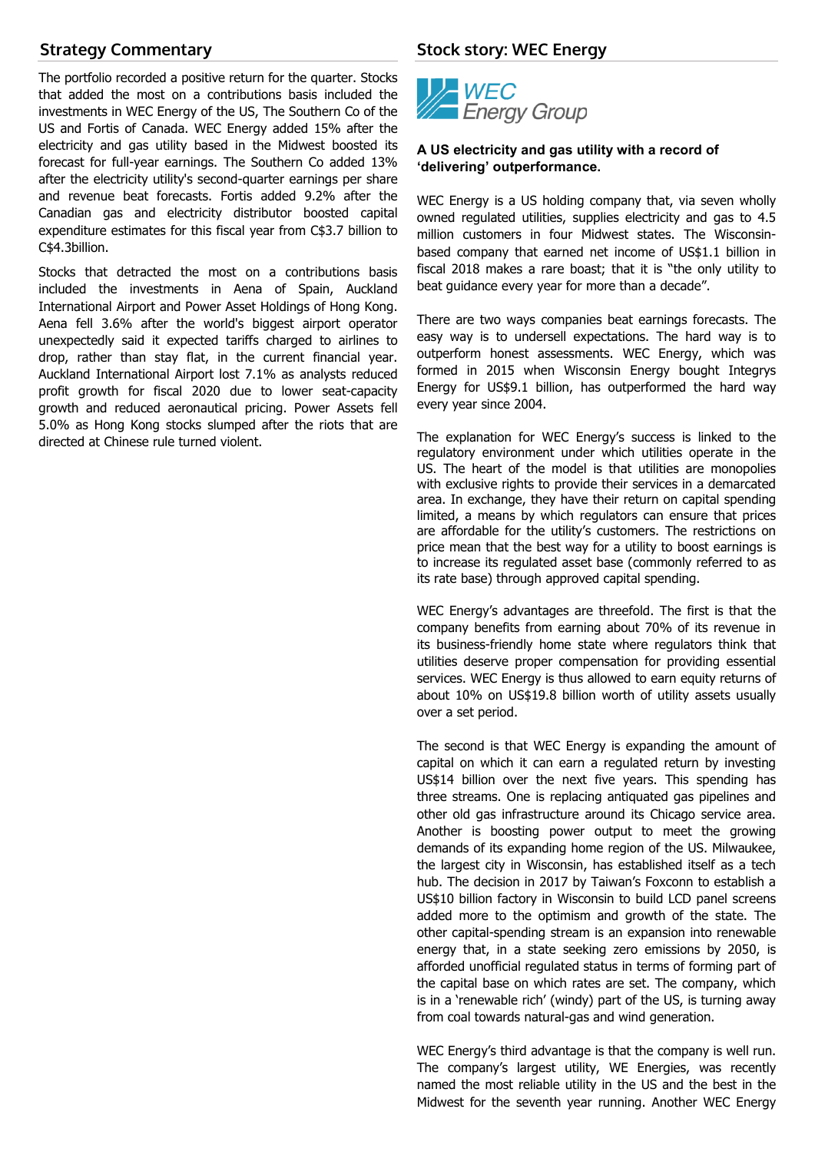# **Strategy Commentary**

The portfolio recorded a positive return for the quarter. Stocks that added the most on a contributions basis included the investments in WEC Energy of the US, The Southern Co of the US and Fortis of Canada. WEC Energy added 15% after the electricity and gas utility based in the Midwest boosted its forecast for full-year earnings. The Southern Co added 13% after the electricity utility's second-quarter earnings per share and revenue beat forecasts. Fortis added 9.2% after the Canadian gas and electricity distributor boosted capital expenditure estimates for this fiscal year from C\$3.7 billion to C\$4.3billion.

Stocks that detracted the most on a contributions basis included the investments in Aena of Spain, Auckland International Airport and Power Asset Holdings of Hong Kong. Aena fell 3.6% after the world's biggest airport operator unexpectedly said it expected tariffs charged to airlines to drop, rather than stay flat, in the current financial year. Auckland International Airport lost 7.1% as analysts reduced profit growth for fiscal 2020 due to lower seat-capacity growth and reduced aeronautical pricing. Power Assets fell 5.0% as Hong Kong stocks slumped after the riots that are directed at Chinese rule turned violent.

## **Stock story: WEC Energy**



## **A US electricity and gas utility with a record of 'delivering' outperformance.**

WEC Energy is a US holding company that, via seven wholly owned regulated utilities, supplies electricity and gas to 4.5 million customers in four Midwest states. The Wisconsinbased company that earned net income of US\$1.1 billion in fiscal 2018 makes a rare boast; that it is "the only utility to beat guidance every year for more than a decade".

There are two ways companies beat earnings forecasts. The easy way is to undersell expectations. The hard way is to outperform honest assessments. WEC Energy, which was formed in 2015 when Wisconsin Energy bought Integrys Energy for US\$9.1 billion, has outperformed the hard way every year since 2004.

The explanation for WEC Energy's success is linked to the regulatory environment under which utilities operate in the US. The heart of the model is that utilities are monopolies with exclusive rights to provide their services in a demarcated area. In exchange, they have their return on capital spending limited, a means by which regulators can ensure that prices are affordable for the utility's customers. The restrictions on price mean that the best way for a utility to boost earnings is to increase its regulated asset base (commonly referred to as its rate base) through approved capital spending.

WEC Energy's advantages are threefold. The first is that the company benefits from earning about 70% of its revenue in its business-friendly home state where regulators think that utilities deserve proper compensation for providing essential services. WEC Energy is thus allowed to earn equity returns of about 10% on US\$19.8 billion worth of utility assets usually over a set period.

The second is that WEC Energy is expanding the amount of capital on which it can earn a regulated return by investing US\$14 billion over the next five years. This spending has three streams. One is replacing antiquated gas pipelines and other old gas infrastructure around its Chicago service area. Another is boosting power output to meet the growing demands of its expanding home region of the US. Milwaukee, the largest city in Wisconsin, has established itself as a tech hub. The decision in 2017 by Taiwan's Foxconn to establish a US\$10 billion factory in Wisconsin to build LCD panel screens added more to the optimism and growth of the state. The other capital-spending stream is an expansion into renewable energy that, in a state seeking zero emissions by 2050, is afforded unofficial regulated status in terms of forming part of the capital base on which rates are set. The company, which is in a 'renewable rich' (windy) part of the US, is turning away from coal towards natural-gas and wind generation.

WEC Energy's third advantage is that the company is well run. The company's largest utility, WE Energies, was recently named the most reliable utility in the US and the best in the Midwest for the seventh year running. Another WEC Energy